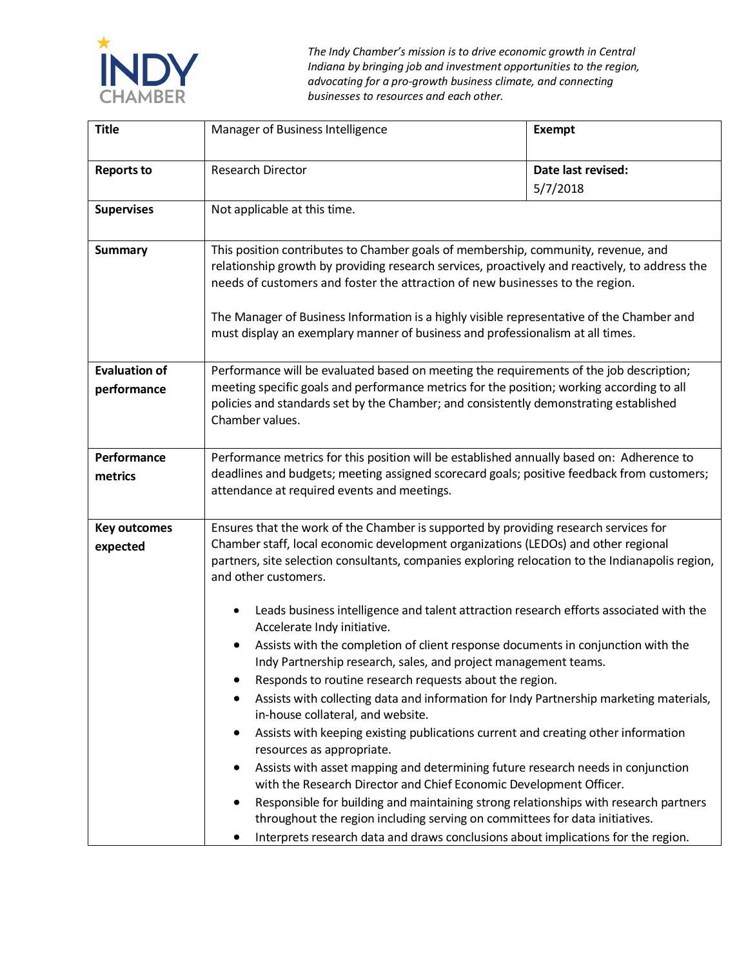

*The Indy Chamber's mission is to drive economic growth in Central Indiana by bringing job and investment opportunities to the region, advocating for a pro-growth business climate, and connecting businesses to resources and each other.*

| <b>Title</b>                        | Manager of Business Intelligence                                                                                                                                                                                                                                                                                                                                                                                                                                                                                                                                                                                                                                                                                                                                                                                                                                                                                                                                                                                                             | <b>Exempt</b>                  |
|-------------------------------------|----------------------------------------------------------------------------------------------------------------------------------------------------------------------------------------------------------------------------------------------------------------------------------------------------------------------------------------------------------------------------------------------------------------------------------------------------------------------------------------------------------------------------------------------------------------------------------------------------------------------------------------------------------------------------------------------------------------------------------------------------------------------------------------------------------------------------------------------------------------------------------------------------------------------------------------------------------------------------------------------------------------------------------------------|--------------------------------|
| <b>Reports to</b>                   | Research Director                                                                                                                                                                                                                                                                                                                                                                                                                                                                                                                                                                                                                                                                                                                                                                                                                                                                                                                                                                                                                            | Date last revised:<br>5/7/2018 |
| <b>Supervises</b>                   | Not applicable at this time.                                                                                                                                                                                                                                                                                                                                                                                                                                                                                                                                                                                                                                                                                                                                                                                                                                                                                                                                                                                                                 |                                |
| <b>Summary</b>                      | This position contributes to Chamber goals of membership, community, revenue, and<br>relationship growth by providing research services, proactively and reactively, to address the<br>needs of customers and foster the attraction of new businesses to the region.                                                                                                                                                                                                                                                                                                                                                                                                                                                                                                                                                                                                                                                                                                                                                                         |                                |
|                                     | The Manager of Business Information is a highly visible representative of the Chamber and<br>must display an exemplary manner of business and professionalism at all times.                                                                                                                                                                                                                                                                                                                                                                                                                                                                                                                                                                                                                                                                                                                                                                                                                                                                  |                                |
| <b>Evaluation of</b><br>performance | Performance will be evaluated based on meeting the requirements of the job description;<br>meeting specific goals and performance metrics for the position; working according to all<br>policies and standards set by the Chamber; and consistently demonstrating established<br>Chamber values.                                                                                                                                                                                                                                                                                                                                                                                                                                                                                                                                                                                                                                                                                                                                             |                                |
| Performance<br>metrics              | Performance metrics for this position will be established annually based on: Adherence to<br>deadlines and budgets; meeting assigned scorecard goals; positive feedback from customers;<br>attendance at required events and meetings.                                                                                                                                                                                                                                                                                                                                                                                                                                                                                                                                                                                                                                                                                                                                                                                                       |                                |
| <b>Key outcomes</b><br>expected     | Ensures that the work of the Chamber is supported by providing research services for<br>Chamber staff, local economic development organizations (LEDOs) and other regional<br>partners, site selection consultants, companies exploring relocation to the Indianapolis region,<br>and other customers.                                                                                                                                                                                                                                                                                                                                                                                                                                                                                                                                                                                                                                                                                                                                       |                                |
|                                     | Leads business intelligence and talent attraction research efforts associated with the<br>$\bullet$<br>Accelerate Indy initiative.<br>Assists with the completion of client response documents in conjunction with the<br>Indy Partnership research, sales, and project management teams.<br>Responds to routine research requests about the region.<br>Assists with collecting data and information for Indy Partnership marketing materials,<br>$\bullet$<br>in-house collateral, and website.<br>Assists with keeping existing publications current and creating other information<br>resources as appropriate.<br>Assists with asset mapping and determining future research needs in conjunction<br>with the Research Director and Chief Economic Development Officer.<br>Responsible for building and maintaining strong relationships with research partners<br>٠<br>throughout the region including serving on committees for data initiatives.<br>Interprets research data and draws conclusions about implications for the region. |                                |